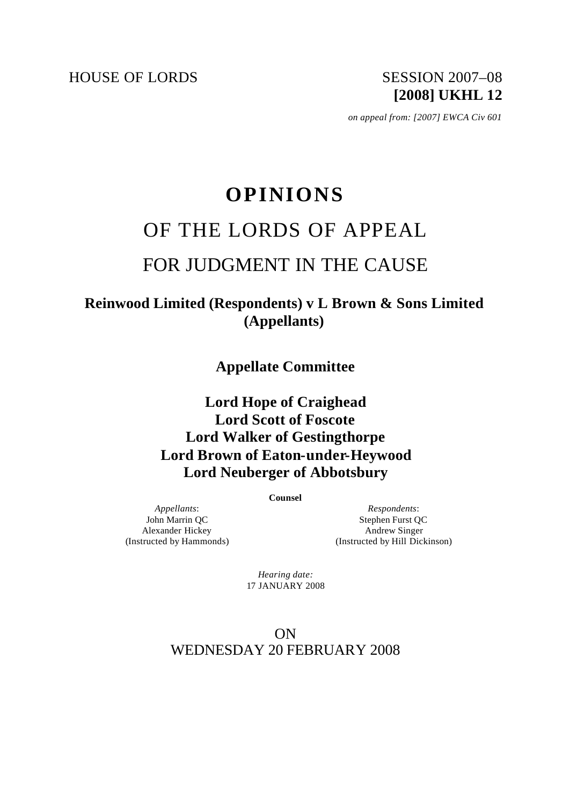HOUSE OF LORDS SESSION 2007-08

 *on appeal from: [2007] EWCA Civ 601*

# **OPINIONS** OF THE LORDS OF APPEAL FOR JUDGMENT IN THE CAUSE

**Reinwood Limited (Respondents) v L Brown & Sons Limited (Appellants)**

**Appellate Committee**

# **Lord Hope of Craighead Lord Scott of Foscote Lord Walker of Gestingthorpe Lord Brown of Eaton-under-Heywood Lord Neuberger of Abbotsbury**

**Counsel**

*Appellants*: John Marrin QC Alexander Hickey (Instructed by Hammonds)

*Respondents*: Stephen Furst QC Andrew Singer (Instructed by Hill Dickinson)

*Hearing date:* 17 JANUARY 2008

ON WEDNESDAY 20 FEBRUARY 2008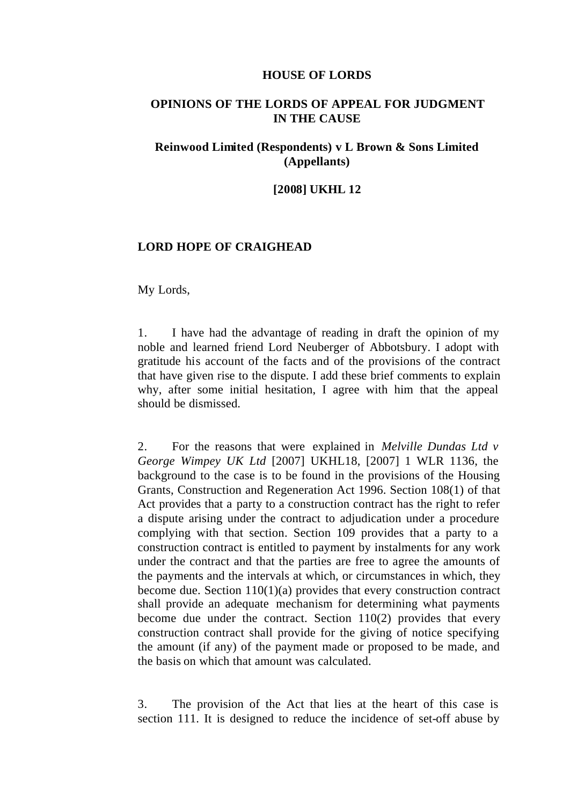#### **HOUSE OF LORDS**

## **OPINIONS OF THE LORDS OF APPEAL FOR JUDGMENT IN THE CAUSE**

# **Reinwood Limited (Respondents) v L Brown & Sons Limited (Appellants)**

#### **[2008] UKHL 12**

#### **LORD HOPE OF CRAIGHEAD**

My Lords,

1. I have had the advantage of reading in draft the opinion of my noble and learned friend Lord Neuberger of Abbotsbury. I adopt with gratitude his account of the facts and of the provisions of the contract that have given rise to the dispute. I add these brief comments to explain why, after some initial hesitation, I agree with him that the appeal should be dismissed.

2. For the reasons that were explained in *Melville Dundas Ltd v George Wimpey UK Ltd* [2007] UKHL18, [2007] 1 WLR 1136, the background to the case is to be found in the provisions of the Housing Grants, Construction and Regeneration Act 1996. Section 108(1) of that Act provides that a party to a construction contract has the right to refer a dispute arising under the contract to adjudication under a procedure complying with that section. Section 109 provides that a party to a construction contract is entitled to payment by instalments for any work under the contract and that the parties are free to agree the amounts of the payments and the intervals at which, or circumstances in which, they become due. Section 110(1)(a) provides that every construction contract shall provide an adequate mechanism for determining what payments become due under the contract. Section 110(2) provides that every construction contract shall provide for the giving of notice specifying the amount (if any) of the payment made or proposed to be made, and the basis on which that amount was calculated.

3. The provision of the Act that lies at the heart of this case is section 111. It is designed to reduce the incidence of set-off abuse by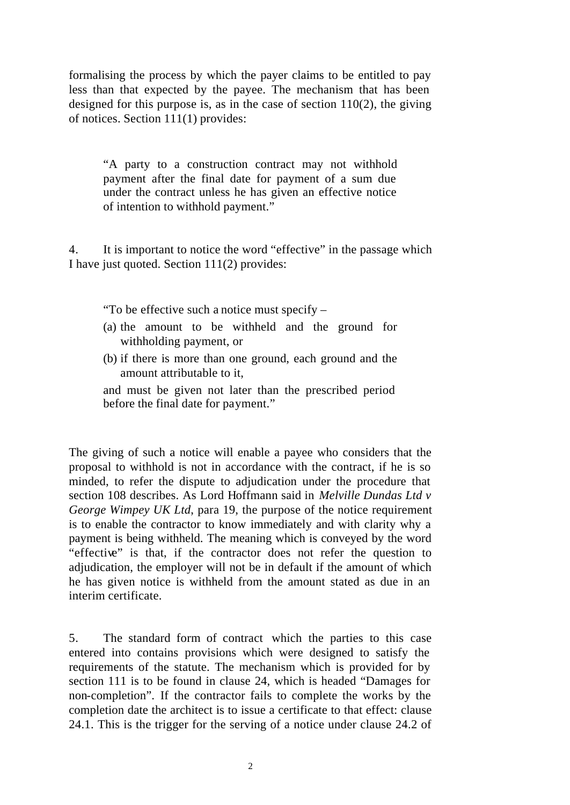formalising the process by which the payer claims to be entitled to pay less than that expected by the payee. The mechanism that has been designed for this purpose is, as in the case of section 110(2), the giving of notices. Section 111(1) provides:

"A party to a construction contract may not withhold payment after the final date for payment of a sum due under the contract unless he has given an effective notice of intention to withhold payment."

4. It is important to notice the word "effective" in the passage which I have just quoted. Section 111(2) provides:

"To be effective such a notice must specify –

- (a) the amount to be withheld and the ground for withholding payment, or
- (b) if there is more than one ground, each ground and the amount attributable to it,

and must be given not later than the prescribed period before the final date for payment."

The giving of such a notice will enable a payee who considers that the proposal to withhold is not in accordance with the contract, if he is so minded, to refer the dispute to adjudication under the procedure that section 108 describes. As Lord Hoffmann said in *Melville Dundas Ltd v George Wimpey UK Ltd*, para 19, the purpose of the notice requirement is to enable the contractor to know immediately and with clarity why a payment is being withheld. The meaning which is conveyed by the word "effective" is that, if the contractor does not refer the question to adjudication, the employer will not be in default if the amount of which he has given notice is withheld from the amount stated as due in an interim certificate.

5. The standard form of contract which the parties to this case entered into contains provisions which were designed to satisfy the requirements of the statute. The mechanism which is provided for by section 111 is to be found in clause 24, which is headed "Damages for non-completion". If the contractor fails to complete the works by the completion date the architect is to issue a certificate to that effect: clause 24.1. This is the trigger for the serving of a notice under clause 24.2 of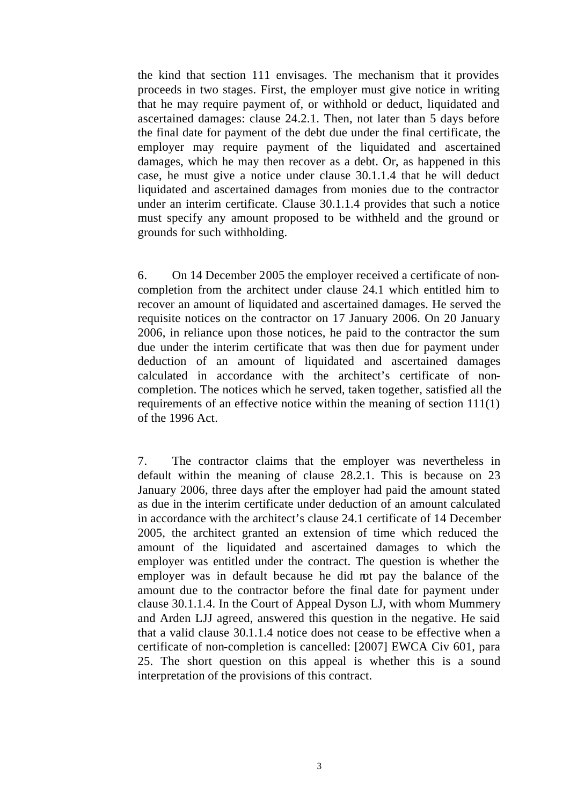the kind that section 111 envisages. The mechanism that it provides proceeds in two stages. First, the employer must give notice in writing that he may require payment of, or withhold or deduct, liquidated and ascertained damages: clause 24.2.1. Then, not later than 5 days before the final date for payment of the debt due under the final certificate, the employer may require payment of the liquidated and ascertained damages, which he may then recover as a debt. Or, as happened in this case, he must give a notice under clause 30.1.1.4 that he will deduct liquidated and ascertained damages from monies due to the contractor under an interim certificate. Clause 30.1.1.4 provides that such a notice must specify any amount proposed to be withheld and the ground or grounds for such withholding.

6. On 14 December 2005 the employer received a certificate of noncompletion from the architect under clause 24.1 which entitled him to recover an amount of liquidated and ascertained damages. He served the requisite notices on the contractor on 17 January 2006. On 20 January 2006, in reliance upon those notices, he paid to the contractor the sum due under the interim certificate that was then due for payment under deduction of an amount of liquidated and ascertained damages calculated in accordance with the architect's certificate of noncompletion. The notices which he served, taken together, satisfied all the requirements of an effective notice within the meaning of section 111(1) of the 1996 Act.

7. The contractor claims that the employer was nevertheless in default within the meaning of clause 28.2.1. This is because on 23 January 2006, three days after the employer had paid the amount stated as due in the interim certificate under deduction of an amount calculated in accordance with the architect's clause 24.1 certificate of 14 December 2005, the architect granted an extension of time which reduced the amount of the liquidated and ascertained damages to which the employer was entitled under the contract. The question is whether the employer was in default because he did not pay the balance of the amount due to the contractor before the final date for payment under clause 30.1.1.4. In the Court of Appeal Dyson LJ, with whom Mummery and Arden LJJ agreed, answered this question in the negative. He said that a valid clause 30.1.1.4 notice does not cease to be effective when a certificate of non-completion is cancelled: [2007] EWCA Civ 601, para 25. The short question on this appeal is whether this is a sound interpretation of the provisions of this contract.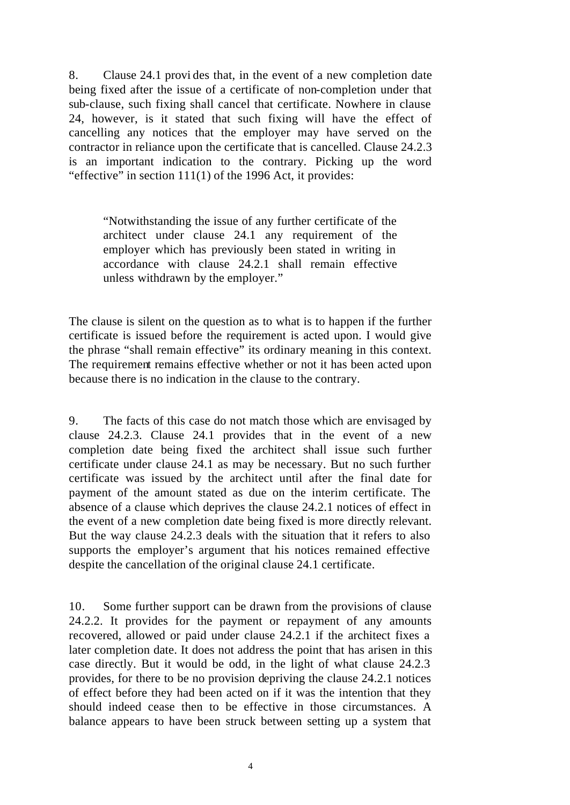8. Clause 24.1 provi des that, in the event of a new completion date being fixed after the issue of a certificate of non-completion under that sub-clause, such fixing shall cancel that certificate. Nowhere in clause 24, however, is it stated that such fixing will have the effect of cancelling any notices that the employer may have served on the contractor in reliance upon the certificate that is cancelled. Clause 24.2.3 is an important indication to the contrary. Picking up the word "effective" in section 111(1) of the 1996 Act, it provides:

"Notwithstanding the issue of any further certificate of the architect under clause 24.1 any requirement of the employer which has previously been stated in writing in accordance with clause 24.2.1 shall remain effective unless withdrawn by the employer."

The clause is silent on the question as to what is to happen if the further certificate is issued before the requirement is acted upon. I would give the phrase "shall remain effective" its ordinary meaning in this context. The requirement remains effective whether or not it has been acted upon because there is no indication in the clause to the contrary.

9. The facts of this case do not match those which are envisaged by clause 24.2.3. Clause 24.1 provides that in the event of a new completion date being fixed the architect shall issue such further certificate under clause 24.1 as may be necessary. But no such further certificate was issued by the architect until after the final date for payment of the amount stated as due on the interim certificate. The absence of a clause which deprives the clause 24.2.1 notices of effect in the event of a new completion date being fixed is more directly relevant. But the way clause 24.2.3 deals with the situation that it refers to also supports the employer's argument that his notices remained effective despite the cancellation of the original clause 24.1 certificate.

10. Some further support can be drawn from the provisions of clause 24.2.2. It provides for the payment or repayment of any amounts recovered, allowed or paid under clause 24.2.1 if the architect fixes a later completion date. It does not address the point that has arisen in this case directly. But it would be odd, in the light of what clause 24.2.3 provides, for there to be no provision depriving the clause 24.2.1 notices of effect before they had been acted on if it was the intention that they should indeed cease then to be effective in those circumstances. A balance appears to have been struck between setting up a system that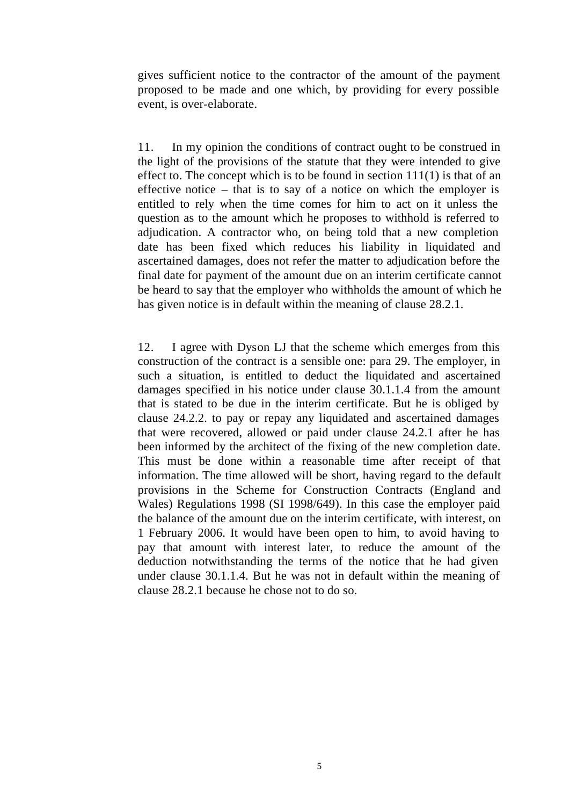gives sufficient notice to the contractor of the amount of the payment proposed to be made and one which, by providing for every possible event, is over-elaborate.

11. In my opinion the conditions of contract ought to be construed in the light of the provisions of the statute that they were intended to give effect to. The concept which is to be found in section  $111(1)$  is that of an effective notice – that is to say of a notice on which the employer is entitled to rely when the time comes for him to act on it unless the question as to the amount which he proposes to withhold is referred to adjudication. A contractor who, on being told that a new completion date has been fixed which reduces his liability in liquidated and ascertained damages, does not refer the matter to adjudication before the final date for payment of the amount due on an interim certificate cannot be heard to say that the employer who withholds the amount of which he has given notice is in default within the meaning of clause 28.2.1.

12. I agree with Dyson LJ that the scheme which emerges from this construction of the contract is a sensible one: para 29. The employer, in such a situation, is entitled to deduct the liquidated and ascertained damages specified in his notice under clause 30.1.1.4 from the amount that is stated to be due in the interim certificate. But he is obliged by clause 24.2.2. to pay or repay any liquidated and ascertained damages that were recovered, allowed or paid under clause 24.2.1 after he has been informed by the architect of the fixing of the new completion date. This must be done within a reasonable time after receipt of that information. The time allowed will be short, having regard to the default provisions in the Scheme for Construction Contracts (England and Wales) Regulations 1998 (SI 1998/649). In this case the employer paid the balance of the amount due on the interim certificate, with interest, on 1 February 2006. It would have been open to him, to avoid having to pay that amount with interest later, to reduce the amount of the deduction notwithstanding the terms of the notice that he had given under clause 30.1.1.4. But he was not in default within the meaning of clause 28.2.1 because he chose not to do so.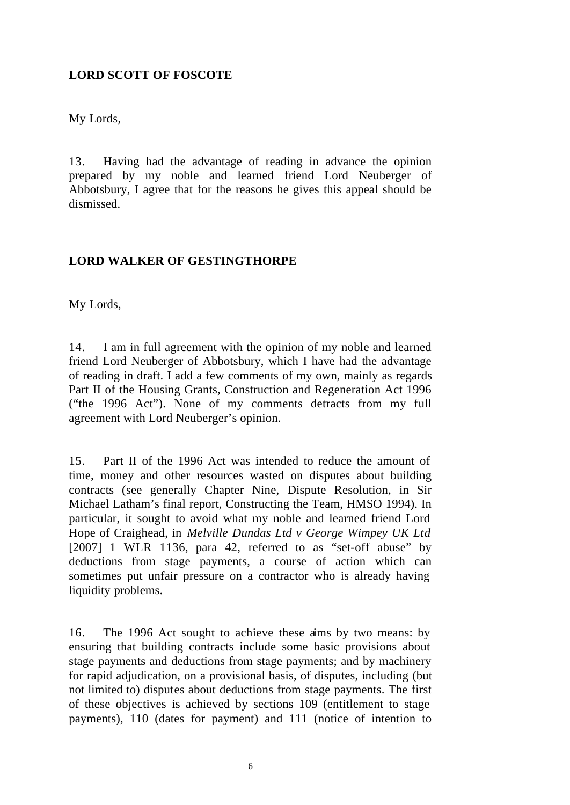# **LORD SCOTT OF FOSCOTE**

My Lords,

13. Having had the advantage of reading in advance the opinion prepared by my noble and learned friend Lord Neuberger of Abbotsbury, I agree that for the reasons he gives this appeal should be dismissed.

# **LORD WALKER OF GESTINGTHORPE**

My Lords,

14. I am in full agreement with the opinion of my noble and learned friend Lord Neuberger of Abbotsbury, which I have had the advantage of reading in draft. I add a few comments of my own, mainly as regards Part II of the Housing Grants, Construction and Regeneration Act 1996 ("the 1996 Act"). None of my comments detracts from my full agreement with Lord Neuberger's opinion.

15. Part II of the 1996 Act was intended to reduce the amount of time, money and other resources wasted on disputes about building contracts (see generally Chapter Nine, Dispute Resolution, in Sir Michael Latham's final report, Constructing the Team, HMSO 1994). In particular, it sought to avoid what my noble and learned friend Lord Hope of Craighead, in *Melville Dundas Ltd v George Wimpey UK Ltd*  [2007] 1 WLR 1136, para 42, referred to as "set-off abuse" by deductions from stage payments, a course of action which can sometimes put unfair pressure on a contractor who is already having liquidity problems.

16. The 1996 Act sought to achieve these aims by two means: by ensuring that building contracts include some basic provisions about stage payments and deductions from stage payments; and by machinery for rapid adjudication, on a provisional basis, of disputes, including (but not limited to) disputes about deductions from stage payments. The first of these objectives is achieved by sections 109 (entitlement to stage payments), 110 (dates for payment) and 111 (notice of intention to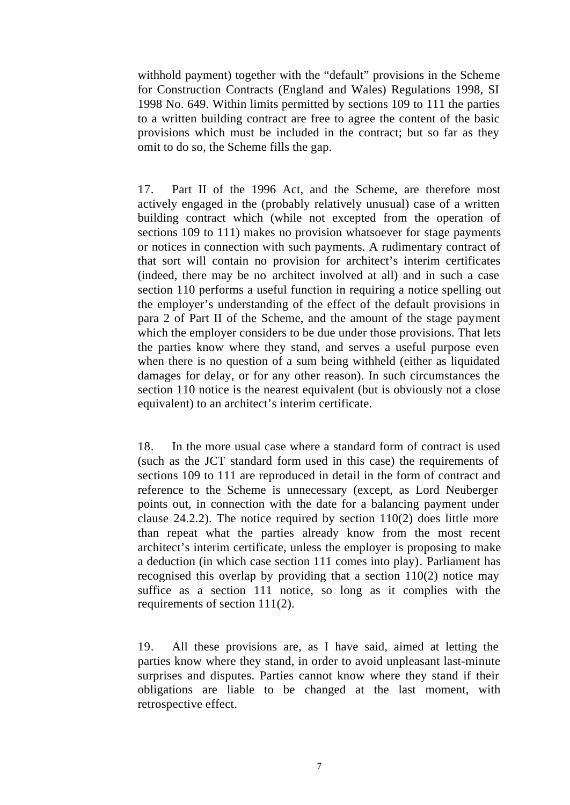withhold payment) together with the "default" provisions in the Scheme for Construction Contracts (England and Wales) Regulations 1998, SI 1998 No. 649. Within limits permitted by sections 109 to 111 the parties to a written building contract are free to agree the content of the basic provisions which must be included in the contract; but so far as they omit to do so, the Scheme fills the gap.

17. Part II of the 1996 Act, and the Scheme, are therefore most actively engaged in the (probably relatively unusual) case of a written building contract which (while not excepted from the operation of sections 109 to 111) makes no provision whatsoever for stage payments or notices in connection with such payments. A rudimentary contract of that sort will contain no provision for architect's interim certificates (indeed, there may be no architect involved at all) and in such a case section 110 performs a useful function in requiring a notice spelling out the employer's understanding of the effect of the default provisions in para 2 of Part II of the Scheme, and the amount of the stage payment which the employer considers to be due under those provisions. That lets the parties know where they stand, and serves a useful purpose even when there is no question of a sum being withheld (either as liquidated damages for delay, or for any other reason). In such circumstances the section 110 notice is the nearest equivalent (but is obviously not a close equivalent) to an architect's interim certificate.

18. In the more usual case where a standard form of contract is used (such as the JCT standard form used in this case) the requirements of sections 109 to 111 are reproduced in detail in the form of contract and reference to the Scheme is unnecessary (except, as Lord Neuberger points out, in connection with the date for a balancing payment under clause 24.2.2). The notice required by section 110(2) does little more than repeat what the parties already know from the most recent architect's interim certificate, unless the employer is proposing to make a deduction (in which case section 111 comes into play). Parliament has recognised this overlap by providing that a section 110(2) notice may suffice as a section 111 notice, so long as it complies with the requirements of section 111(2).

19. All these provisions are, as I have said, aimed at letting the parties know where they stand, in order to avoid unpleasant last-minute surprises and disputes. Parties cannot know where they stand if their obligations are liable to be changed at the last moment, with retrospective effect.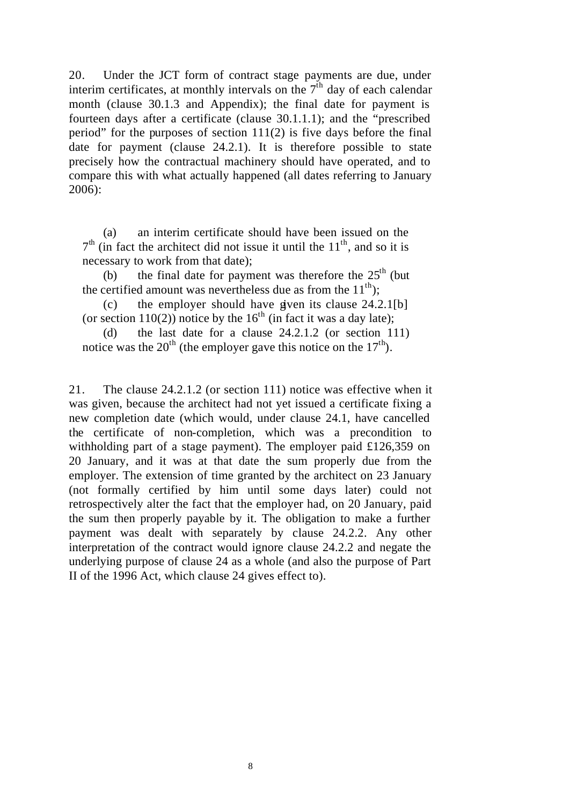20. Under the JCT form of contract stage payments are due, under interim certificates, at monthly intervals on the  $7<sup>th</sup>$  day of each calendar month (clause 30.1.3 and Appendix); the final date for payment is fourteen days after a certificate (clause 30.1.1.1); and the "prescribed period" for the purposes of section 111(2) is five days before the final date for payment (clause 24.2.1). It is therefore possible to state precisely how the contractual machinery should have operated, and to compare this with what actually happened (all dates referring to January 2006):

(a) an interim certificate should have been issued on the  $7<sup>th</sup>$  (in fact the architect did not issue it until the  $11<sup>th</sup>$ , and so it is necessary to work from that date);

(b) the final date for payment was therefore the  $25<sup>th</sup>$  (but the certified amount was nevertheless due as from the  $11<sup>th</sup>$ :

(c) the employer should have given its clause  $24.2.1$ [b] (or section 110(2)) notice by the 16<sup>th</sup> (in fact it was a day late);

(d) the last date for a clause 24.2.1.2 (or section 111) notice was the  $20^{th}$  (the employer gave this notice on the  $17^{th}$ ).

21. The clause 24.2.1.2 (or section 111) notice was effective when it was given, because the architect had not yet issued a certificate fixing a new completion date (which would, under clause 24.1, have cancelled the certificate of non-completion, which was a precondition to withholding part of a stage payment). The employer paid £126,359 on 20 January, and it was at that date the sum properly due from the employer. The extension of time granted by the architect on 23 January (not formally certified by him until some days later) could not retrospectively alter the fact that the employer had, on 20 January, paid the sum then properly payable by it. The obligation to make a further payment was dealt with separately by clause 24.2.2. Any other interpretation of the contract would ignore clause 24.2.2 and negate the underlying purpose of clause 24 as a whole (and also the purpose of Part II of the 1996 Act, which clause 24 gives effect to).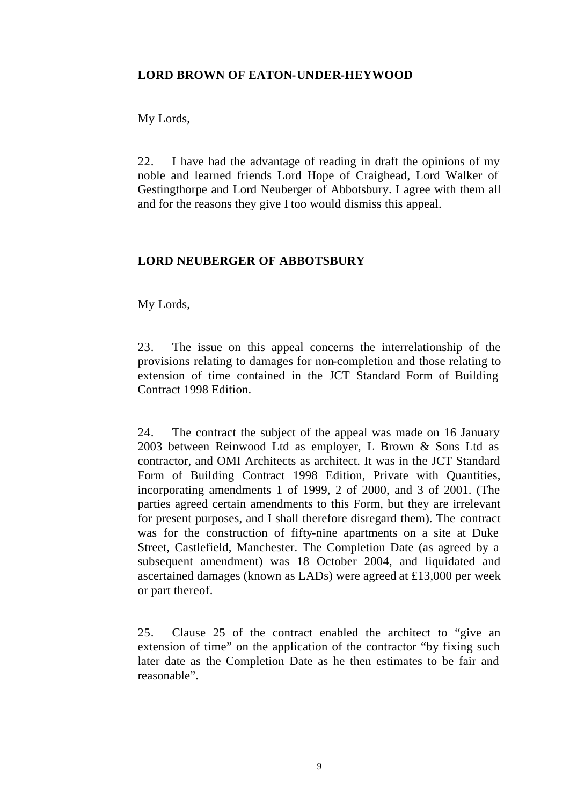# **LORD BROWN OF EATON-UNDER-HEYWOOD**

My Lords,

22. I have had the advantage of reading in draft the opinions of my noble and learned friends Lord Hope of Craighead, Lord Walker of Gestingthorpe and Lord Neuberger of Abbotsbury. I agree with them all and for the reasons they give I too would dismiss this appeal.

# **LORD NEUBERGER OF ABBOTSBURY**

My Lords,

23. The issue on this appeal concerns the interrelationship of the provisions relating to damages for non-completion and those relating to extension of time contained in the JCT Standard Form of Building Contract 1998 Edition.

24. The contract the subject of the appeal was made on 16 January 2003 between Reinwood Ltd as employer, L Brown & Sons Ltd as contractor, and OMI Architects as architect. It was in the JCT Standard Form of Building Contract 1998 Edition, Private with Quantities, incorporating amendments 1 of 1999, 2 of 2000, and 3 of 2001. (The parties agreed certain amendments to this Form, but they are irrelevant for present purposes, and I shall therefore disregard them). The contract was for the construction of fifty-nine apartments on a site at Duke Street, Castlefield, Manchester. The Completion Date (as agreed by a subsequent amendment) was 18 October 2004, and liquidated and ascertained damages (known as LADs) were agreed at £13,000 per week or part thereof.

25. Clause 25 of the contract enabled the architect to "give an extension of time" on the application of the contractor "by fixing such later date as the Completion Date as he then estimates to be fair and reasonable".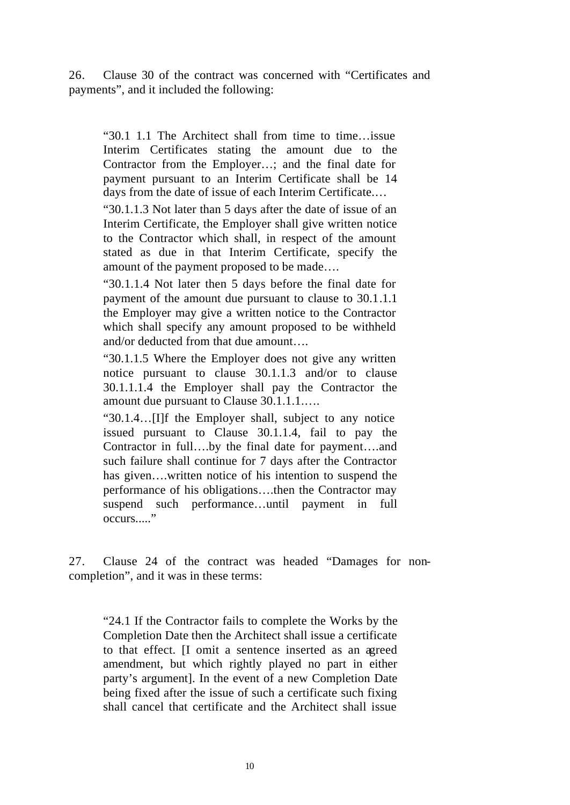26. Clause 30 of the contract was concerned with "Certificates and payments", and it included the following:

"30.1 1.1 The Architect shall from time to time…issue Interim Certificates stating the amount due to the Contractor from the Employer…; and the final date for payment pursuant to an Interim Certificate shall be 14 days from the date of issue of each Interim Certificate.…

"30.1.1.3 Not later than 5 days after the date of issue of an Interim Certificate, the Employer shall give written notice to the Contractor which shall, in respect of the amount stated as due in that Interim Certificate, specify the amount of the payment proposed to be made….

"30.1.1.4 Not later then 5 days before the final date for payment of the amount due pursuant to clause to 30.1.1.1 the Employer may give a written notice to the Contractor which shall specify any amount proposed to be withheld and/or deducted from that due amount….

"30.1.1.5 Where the Employer does not give any written notice pursuant to clause 30.1.1.3 and/or to clause 30.1.1.1.4 the Employer shall pay the Contractor the amount due pursuant to Clause 30.1.1.1.….

"30.1.4…[I]f the Employer shall, subject to any notice issued pursuant to Clause 30.1.1.4, fail to pay the Contractor in full….by the final date for payment….and such failure shall continue for 7 days after the Contractor has given….written notice of his intention to suspend the performance of his obligations….then the Contractor may suspend such performance…until payment in full occurs....."

27. Clause 24 of the contract was headed "Damages for noncompletion", and it was in these terms:

"24.1 If the Contractor fails to complete the Works by the Completion Date then the Architect shall issue a certificate to that effect. [I omit a sentence inserted as an agreed amendment, but which rightly played no part in either party's argument]. In the event of a new Completion Date being fixed after the issue of such a certificate such fixing shall cancel that certificate and the Architect shall issue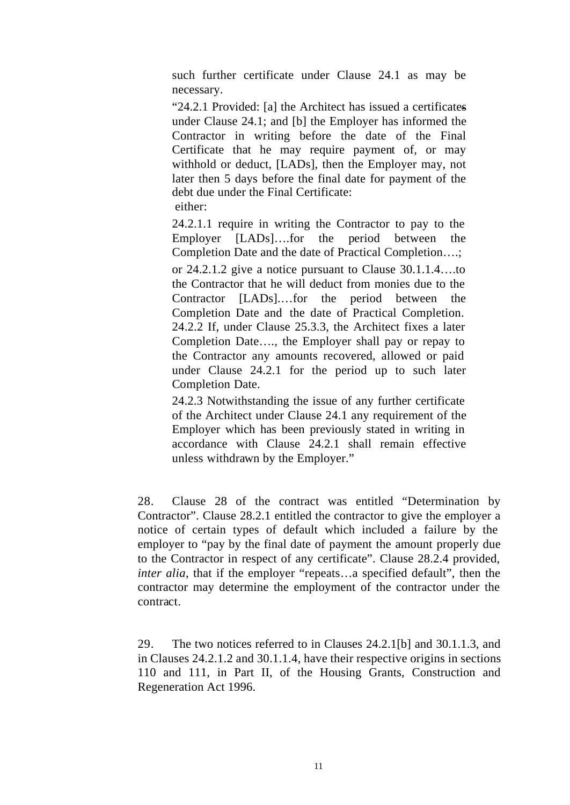such further certificate under Clause 24.1 as may be necessary.

"24.2.1 Provided: [a] the Architect has issued a certificates under Clause 24.1; and [b] the Employer has informed the Contractor in writing before the date of the Final Certificate that he may require payment of, or may withhold or deduct, [LADs], then the Employer may, not later then 5 days before the final date for payment of the debt due under the Final Certificate:

either:

24.2.1.1 require in writing the Contractor to pay to the Employer [LADs]….for the period between the Completion Date and the date of Practical Completion….;

or 24.2.1.2 give a notice pursuant to Clause 30.1.1.4….to the Contractor that he will deduct from monies due to the Contractor [LADs].…for the period between the Completion Date and the date of Practical Completion. 24.2.2 If, under Clause 25.3.3, the Architect fixes a later Completion Date…., the Employer shall pay or repay to the Contractor any amounts recovered, allowed or paid under Clause 24.2.1 for the period up to such later Completion Date.

24.2.3 Notwithstanding the issue of any further certificate of the Architect under Clause 24.1 any requirement of the Employer which has been previously stated in writing in accordance with Clause 24.2.1 shall remain effective unless withdrawn by the Employer."

28. Clause 28 of the contract was entitled "Determination by Contractor". Clause 28.2.1 entitled the contractor to give the employer a notice of certain types of default which included a failure by the employer to "pay by the final date of payment the amount properly due to the Contractor in respect of any certificate". Clause 28.2.4 provided, *inter alia*, that if the employer "repeats...a specified default", then the contractor may determine the employment of the contractor under the contract.

29. The two notices referred to in Clauses 24.2.1[b] and 30.1.1.3, and in Clauses 24.2.1.2 and 30.1.1.4, have their respective origins in sections 110 and 111, in Part II, of the Housing Grants, Construction and Regeneration Act 1996.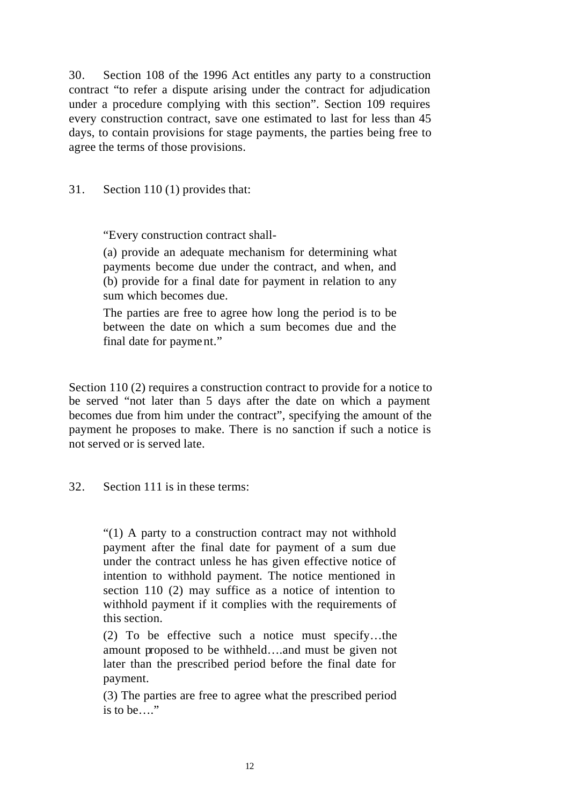30. Section 108 of the 1996 Act entitles any party to a construction contract "to refer a dispute arising under the contract for adjudication under a procedure complying with this section". Section 109 requires every construction contract, save one estimated to last for less than 45 days, to contain provisions for stage payments, the parties being free to agree the terms of those provisions.

### 31. Section 110 (1) provides that:

"Every construction contract shall-

(a) provide an adequate mechanism for determining what payments become due under the contract, and when, and (b) provide for a final date for payment in relation to any sum which becomes due.

The parties are free to agree how long the period is to be between the date on which a sum becomes due and the final date for payment."

Section 110 (2) requires a construction contract to provide for a notice to be served "not later than 5 days after the date on which a payment becomes due from him under the contract", specifying the amount of the payment he proposes to make. There is no sanction if such a notice is not served or is served late.

32. Section 111 is in these terms:

" $(1)$  A party to a construction contract may not withhold payment after the final date for payment of a sum due under the contract unless he has given effective notice of intention to withhold payment. The notice mentioned in section 110 (2) may suffice as a notice of intention to withhold payment if it complies with the requirements of this section.

(2) To be effective such a notice must specify…the amount proposed to be withheld….and must be given not later than the prescribed period before the final date for payment.

(3) The parties are free to agree what the prescribed period is to be…."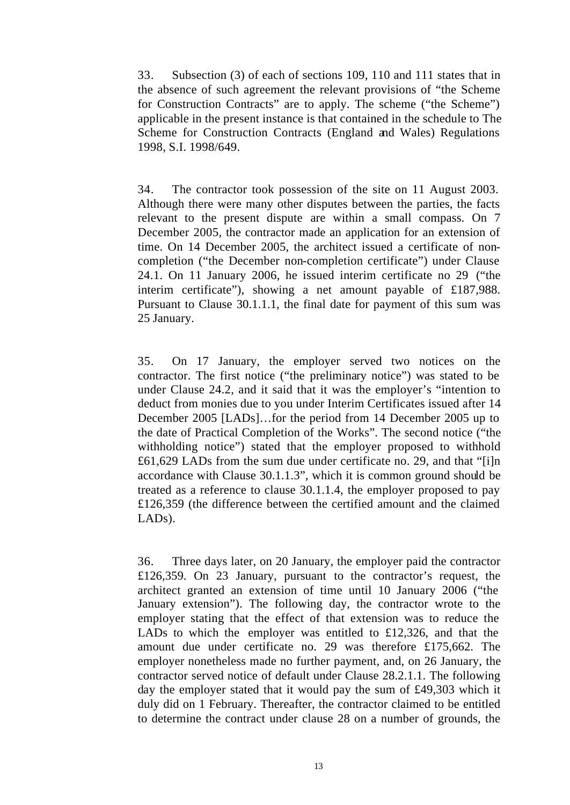33. Subsection (3) of each of sections 109, 110 and 111 states that in the absence of such agreement the relevant provisions of "the Scheme for Construction Contracts" are to apply. The scheme ("the Scheme") applicable in the present instance is that contained in the schedule to The Scheme for Construction Contracts (England and Wales) Regulations 1998, S.I. 1998/649.

34. The contractor took possession of the site on 11 August 2003. Although there were many other disputes between the parties, the facts relevant to the present dispute are within a small compass. On 7 December 2005, the contractor made an application for an extension of time. On 14 December 2005, the architect issued a certificate of noncompletion ("the December non-completion certificate") under Clause 24.1. On 11 January 2006, he issued interim certificate no 29 ("the interim certificate"), showing a net amount payable of £187,988. Pursuant to Clause 30.1.1.1, the final date for payment of this sum was 25 January.

35. On 17 January, the employer served two notices on the contractor. The first notice ("the preliminary notice") was stated to be under Clause 24.2, and it said that it was the employer's "intention to deduct from monies due to you under Interim Certificates issued after 14 December 2005 [LADs]…for the period from 14 December 2005 up to the date of Practical Completion of the Works". The second notice ("the withholding notice") stated that the employer proposed to withhold £61,629 LADs from the sum due under certificate no. 29, and that "[i]n accordance with Clause 30.1.1.3", which it is common ground should be treated as a reference to clause 30.1.1.4, the employer proposed to pay £126,359 (the difference between the certified amount and the claimed LADs).

36. Three days later, on 20 January, the employer paid the contractor £126,359. On 23 January, pursuant to the contractor's request, the architect granted an extension of time until 10 January 2006 ("the January extension"). The following day, the contractor wrote to the employer stating that the effect of that extension was to reduce the LADs to which the employer was entitled to £12,326, and that the amount due under certificate no. 29 was therefore £175,662. The employer nonetheless made no further payment, and, on 26 January, the contractor served notice of default under Clause 28.2.1.1. The following day the employer stated that it would pay the sum of £49,303 which it duly did on 1 February. Thereafter, the contractor claimed to be entitled to determine the contract under clause 28 on a number of grounds, the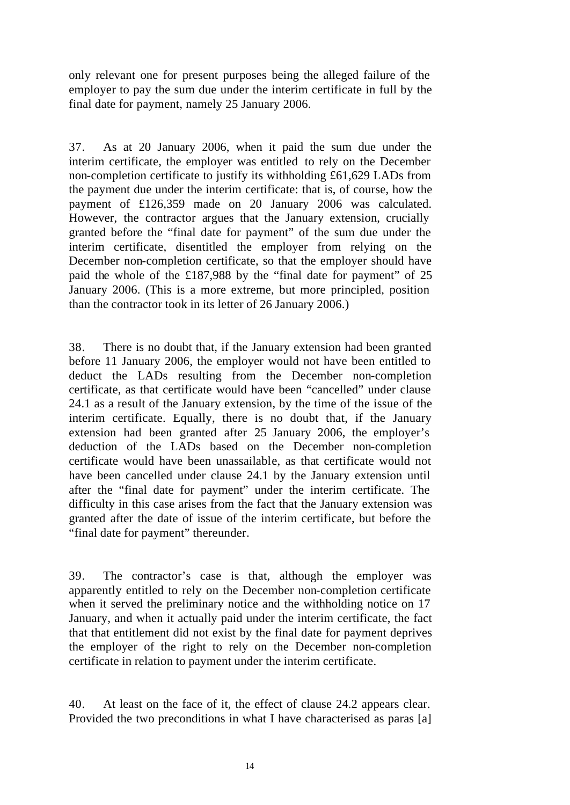only relevant one for present purposes being the alleged failure of the employer to pay the sum due under the interim certificate in full by the final date for payment, namely 25 January 2006.

37. As at 20 January 2006, when it paid the sum due under the interim certificate, the employer was entitled to rely on the December non-completion certificate to justify its withholding £61,629 LADs from the payment due under the interim certificate: that is, of course, how the payment of £126,359 made on 20 January 2006 was calculated. However, the contractor argues that the January extension, crucially granted before the "final date for payment" of the sum due under the interim certificate, disentitled the employer from relying on the December non-completion certificate, so that the employer should have paid the whole of the £187,988 by the "final date for payment" of 25 January 2006. (This is a more extreme, but more principled, position than the contractor took in its letter of 26 January 2006.)

38. There is no doubt that, if the January extension had been granted before 11 January 2006, the employer would not have been entitled to deduct the LADs resulting from the December non-completion certificate, as that certificate would have been "cancelled" under clause 24.1 as a result of the January extension, by the time of the issue of the interim certificate. Equally, there is no doubt that, if the January extension had been granted after 25 January 2006, the employer's deduction of the LADs based on the December non-completion certificate would have been unassailable, as that certificate would not have been cancelled under clause 24.1 by the January extension until after the "final date for payment" under the interim certificate. The difficulty in this case arises from the fact that the January extension was granted after the date of issue of the interim certificate, but before the "final date for payment" thereunder.

39. The contractor's case is that, although the employer was apparently entitled to rely on the December non-completion certificate when it served the preliminary notice and the withholding notice on 17 January, and when it actually paid under the interim certificate, the fact that that entitlement did not exist by the final date for payment deprives the employer of the right to rely on the December non-completion certificate in relation to payment under the interim certificate.

40. At least on the face of it, the effect of clause 24.2 appears clear. Provided the two preconditions in what I have characterised as paras [a]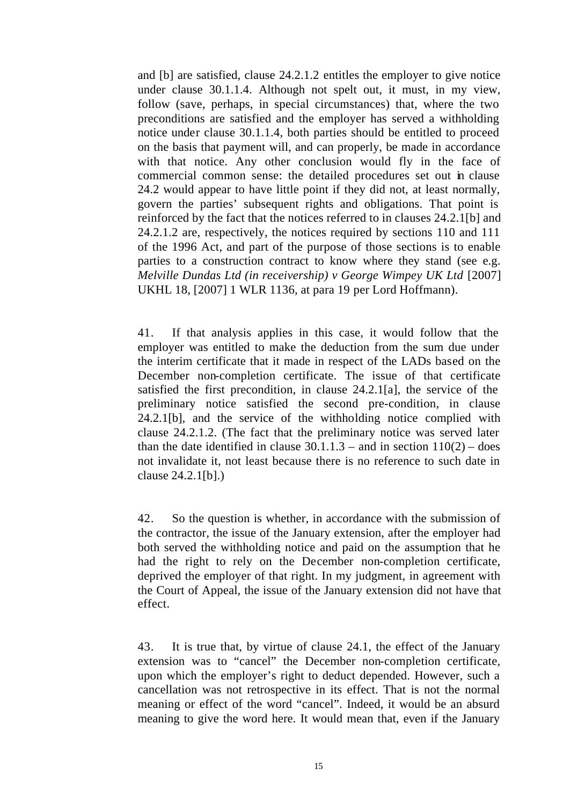and [b] are satisfied, clause 24.2.1.2 entitles the employer to give notice under clause 30.1.1.4. Although not spelt out, it must, in my view, follow (save, perhaps, in special circumstances) that, where the two preconditions are satisfied and the employer has served a withholding notice under clause 30.1.1.4, both parties should be entitled to proceed on the basis that payment will, and can properly, be made in accordance with that notice. Any other conclusion would fly in the face of commercial common sense: the detailed procedures set out in clause 24.2 would appear to have little point if they did not, at least normally, govern the parties' subsequent rights and obligations. That point is reinforced by the fact that the notices referred to in clauses 24.2.1[b] and 24.2.1.2 are, respectively, the notices required by sections 110 and 111 of the 1996 Act, and part of the purpose of those sections is to enable parties to a construction contract to know where they stand (see e.g. *Melville Dundas Ltd (in receivership) v George Wimpey UK Ltd* [2007] UKHL 18, [2007] 1 WLR 1136, at para 19 per Lord Hoffmann).

41. If that analysis applies in this case, it would follow that the employer was entitled to make the deduction from the sum due under the interim certificate that it made in respect of the LADs based on the December non-completion certificate. The issue of that certificate satisfied the first precondition, in clause 24.2.1[a], the service of the preliminary notice satisfied the second pre-condition, in clause 24.2.1[b], and the service of the withholding notice complied with clause 24.2.1.2. (The fact that the preliminary notice was served later than the date identified in clause  $30.1.1.3$  – and in section  $110(2)$  – does not invalidate it, not least because there is no reference to such date in clause 24.2.1[b].)

42. So the question is whether, in accordance with the submission of the contractor, the issue of the January extension, after the employer had both served the withholding notice and paid on the assumption that he had the right to rely on the December non-completion certificate, deprived the employer of that right. In my judgment, in agreement with the Court of Appeal, the issue of the January extension did not have that effect.

43. It is true that, by virtue of clause 24.1, the effect of the January extension was to "cancel" the December non-completion certificate, upon which the employer's right to deduct depended. However, such a cancellation was not retrospective in its effect. That is not the normal meaning or effect of the word "cancel". Indeed, it would be an absurd meaning to give the word here. It would mean that, even if the January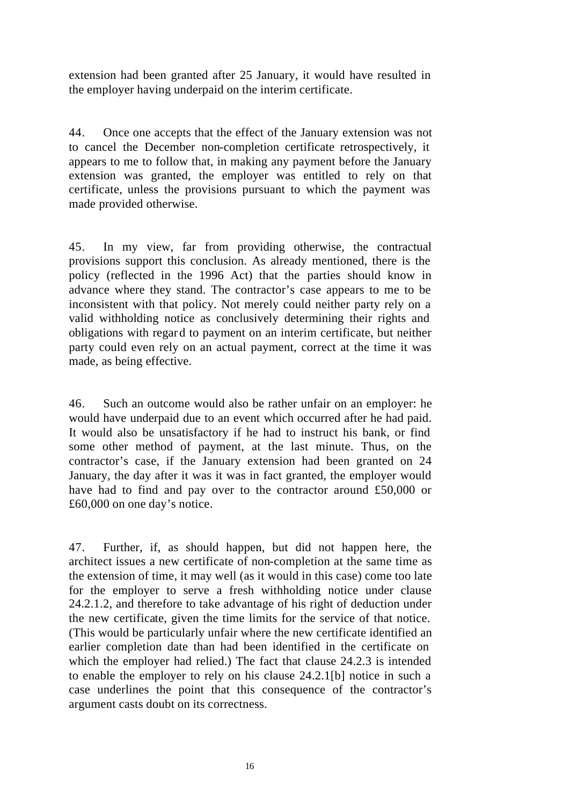extension had been granted after 25 January, it would have resulted in the employer having underpaid on the interim certificate.

44. Once one accepts that the effect of the January extension was not to cancel the December non-completion certificate retrospectively, it appears to me to follow that, in making any payment before the January extension was granted, the employer was entitled to rely on that certificate, unless the provisions pursuant to which the payment was made provided otherwise.

45. In my view, far from providing otherwise, the contractual provisions support this conclusion. As already mentioned, there is the policy (reflected in the 1996 Act) that the parties should know in advance where they stand. The contractor's case appears to me to be inconsistent with that policy. Not merely could neither party rely on a valid withholding notice as conclusively determining their rights and obligations with regard to payment on an interim certificate, but neither party could even rely on an actual payment, correct at the time it was made, as being effective.

46. Such an outcome would also be rather unfair on an employer: he would have underpaid due to an event which occurred after he had paid. It would also be unsatisfactory if he had to instruct his bank, or find some other method of payment, at the last minute. Thus, on the contractor's case, if the January extension had been granted on 24 January, the day after it was it was in fact granted, the employer would have had to find and pay over to the contractor around £50,000 or £60,000 on one day's notice.

47. Further, if, as should happen, but did not happen here, the architect issues a new certificate of non-completion at the same time as the extension of time, it may well (as it would in this case) come too late for the employer to serve a fresh withholding notice under clause 24.2.1.2, and therefore to take advantage of his right of deduction under the new certificate, given the time limits for the service of that notice. (This would be particularly unfair where the new certificate identified an earlier completion date than had been identified in the certificate on which the employer had relied.) The fact that clause 24.2.3 is intended to enable the employer to rely on his clause 24.2.1[b] notice in such a case underlines the point that this consequence of the contractor's argument casts doubt on its correctness.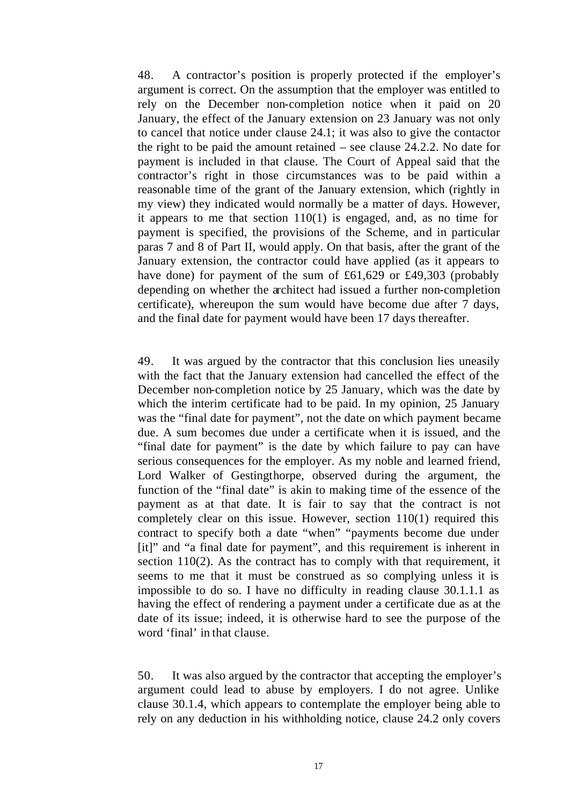48. A contractor's position is properly protected if the employer's argument is correct. On the assumption that the employer was entitled to rely on the December non-completion notice when it paid on 20 January, the effect of the January extension on 23 January was not only to cancel that notice under clause 24.1; it was also to give the contactor the right to be paid the amount retained – see clause 24.2.2. No date for payment is included in that clause. The Court of Appeal said that the contractor's right in those circumstances was to be paid within a reasonable time of the grant of the January extension, which (rightly in my view) they indicated would normally be a matter of days. However, it appears to me that section 110(1) is engaged, and, as no time for payment is specified, the provisions of the Scheme, and in particular paras 7 and 8 of Part II, would apply. On that basis, after the grant of the January extension, the contractor could have applied (as it appears to have done) for payment of the sum of £61,629 or £49,303 (probably depending on whether the architect had issued a further non-completion certificate), whereupon the sum would have become due after 7 days, and the final date for payment would have been 17 days thereafter.

49. It was argued by the contractor that this conclusion lies uneasily with the fact that the January extension had cancelled the effect of the December non-completion notice by 25 January, which was the date by which the interim certificate had to be paid. In my opinion, 25 January was the "final date for payment", not the date on which payment became due. A sum becomes due under a certificate when it is issued, and the "final date for payment" is the date by which failure to pay can have serious consequences for the employer. As my noble and learned friend, Lord Walker of Gestingthorpe, observed during the argument, the function of the "final date" is akin to making time of the essence of the payment as at that date. It is fair to say that the contract is not completely clear on this issue. However, section 110(1) required this contract to specify both a date "when" "payments become due under [it]" and "a final date for payment", and this requirement is inherent in section 110(2). As the contract has to comply with that requirement, it seems to me that it must be construed as so complying unless it is impossible to do so. I have no difficulty in reading clause 30.1.1.1 as having the effect of rendering a payment under a certificate due as at the date of its issue; indeed, it is otherwise hard to see the purpose of the word 'final' in that clause.

50. It was also argued by the contractor that accepting the employer's argument could lead to abuse by employers. I do not agree. Unlike clause 30.1.4, which appears to contemplate the employer being able to rely on any deduction in his withholding notice, clause 24.2 only covers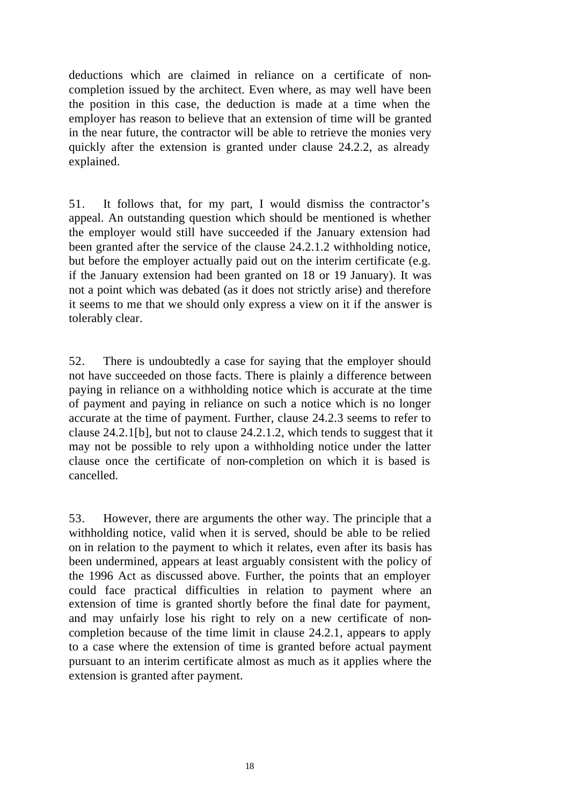deductions which are claimed in reliance on a certificate of noncompletion issued by the architect. Even where, as may well have been the position in this case, the deduction is made at a time when the employer has reason to believe that an extension of time will be granted in the near future, the contractor will be able to retrieve the monies very quickly after the extension is granted under clause 24.2.2, as already explained.

51. It follows that, for my part, I would dismiss the contractor's appeal. An outstanding question which should be mentioned is whether the employer would still have succeeded if the January extension had been granted after the service of the clause 24.2.1.2 withholding notice, but before the employer actually paid out on the interim certificate (e.g. if the January extension had been granted on 18 or 19 January). It was not a point which was debated (as it does not strictly arise) and therefore it seems to me that we should only express a view on it if the answer is tolerably clear.

52. There is undoubtedly a case for saying that the employer should not have succeeded on those facts. There is plainly a difference between paying in reliance on a withholding notice which is accurate at the time of payment and paying in reliance on such a notice which is no longer accurate at the time of payment. Further, clause 24.2.3 seems to refer to clause 24.2.1[b], but not to clause 24.2.1.2, which tends to suggest that it may not be possible to rely upon a withholding notice under the latter clause once the certificate of non-completion on which it is based is cancelled.

53. However, there are arguments the other way. The principle that a withholding notice, valid when it is served, should be able to be relied on in relation to the payment to which it relates, even after its basis has been undermined, appears at least arguably consistent with the policy of the 1996 Act as discussed above. Further, the points that an employer could face practical difficulties in relation to payment where an extension of time is granted shortly before the final date for payment, and may unfairly lose his right to rely on a new certificate of noncompletion because of the time limit in clause 24.2.1, appears to apply to a case where the extension of time is granted before actual payment pursuant to an interim certificate almost as much as it applies where the extension is granted after payment.